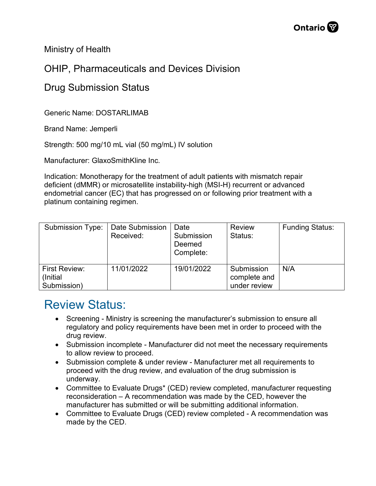Ministry of Health

## OHIP, Pharmaceuticals and Devices Division

## Drug Submission Status

Generic Name: DOSTARLIMAB

Brand Name: Jemperli

Strength: 500 mg/10 mL vial (50 mg/mL) IV solution

Manufacturer: GlaxoSmithKline Inc.

Indication: Monotherapy for the treatment of adult patients with mismatch repair deficient (dMMR) or microsatellite instability-high (MSI-H) recurrent or advanced endometrial cancer (EC) that has progressed on or following prior treatment with a platinum containing regimen.

| Submission Type:                          | Date Submission<br>Received: | Date<br>Submission<br>Deemed<br>Complete: | <b>Review</b><br>Status:                   | <b>Funding Status:</b> |
|-------------------------------------------|------------------------------|-------------------------------------------|--------------------------------------------|------------------------|
| First Review:<br>(Initial)<br>Submission) | 11/01/2022                   | 19/01/2022                                | Submission<br>complete and<br>under review | N/A                    |

## Review Status:

- Screening Ministry is screening the manufacturer's submission to ensure all regulatory and policy requirements have been met in order to proceed with the drug review.
- Submission incomplete Manufacturer did not meet the necessary requirements to allow review to proceed.
- Submission complete & under review Manufacturer met all requirements to proceed with the drug review, and evaluation of the drug submission is underway.
- Committee to Evaluate Drugs\* (CED) review completed, manufacturer requesting reconsideration – A recommendation was made by the CED, however the manufacturer has submitted or will be submitting additional information.
- Committee to Evaluate Drugs (CED) review completed A recommendation was made by the CED.